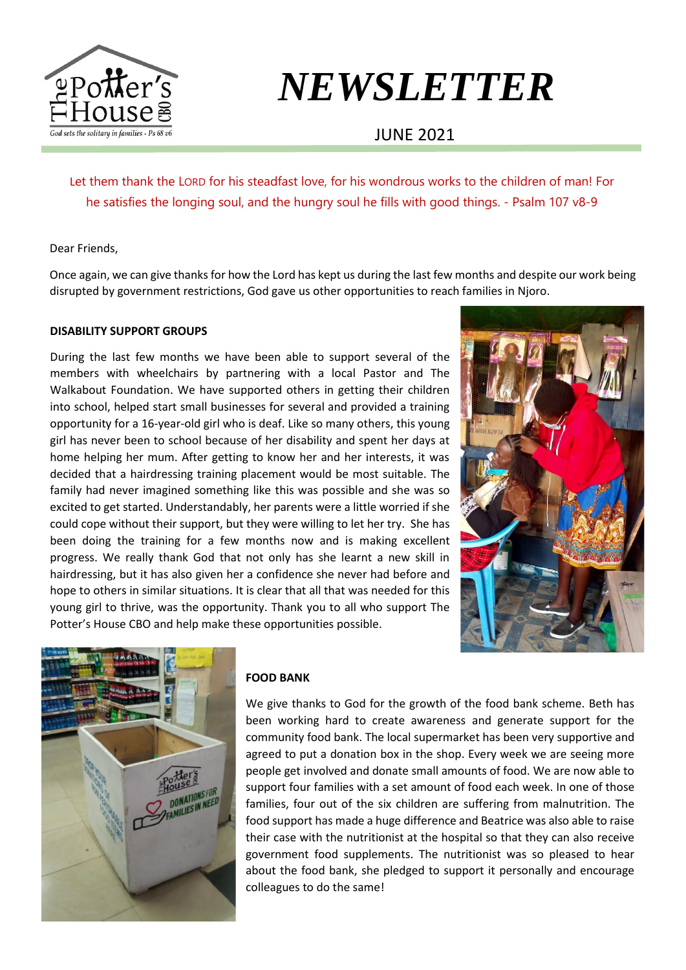

# *NEWSLETTER*

## JUNE 2021

Let them thank the LORD for his steadfast love, for his wondrous works to the children of man! For he satisfies the longing soul, and the hungry soul he fills with good things. - Psalm 107 v8-9

Dear Friends,

Once again, we can give thanks for how the Lord has kept us during the last few months and despite our work being disrupted by government restrictions, God gave us other opportunities to reach families in Njoro.

#### **DISABILITY SUPPORT GROUPS**

During the last few months we have been able to support several of the members with wheelchairs by partnering with a local Pastor and The Walkabout Foundation. We have supported others in getting their children into school, helped start small businesses for several and provided a training opportunity for a 16-year-old girl who is deaf. Like so many others, this young girl has never been to school because of her disability and spent her days at home helping her mum. After getting to know her and her interests, it was decided that a hairdressing training placement would be most suitable. The family had never imagined something like this was possible and she was so excited to get started. Understandably, her parents were a little worried if she could cope without their support, but they were willing to let her try. She has been doing the training for a few months now and is making excellent progress. We really thank God that not only has she learnt a new skill in hairdressing, but it has also given her a confidence she never had before and hope to others in similar situations. It is clear that all that was needed for this young girl to thrive, was the opportunity. Thank you to all who support The Potter's House CBO and help make these opportunities possible.





#### **FOOD BANK**

We give thanks to God for the growth of the food bank scheme. Beth has been working hard to create awareness and generate support for the community food bank. The local supermarket has been very supportive and agreed to put a donation box in the shop. Every week we are seeing more people get involved and donate small amounts of food. We are now able to support four families with a set amount of food each week. In one of those families, four out of the six children are suffering from malnutrition. The food support has made a huge difference and Beatrice was also able to raise their case with the nutritionist at the hospital so that they can also receive government food supplements. The nutritionist was so pleased to hear about the food bank, she pledged to support it personally and encourage colleagues to do the same!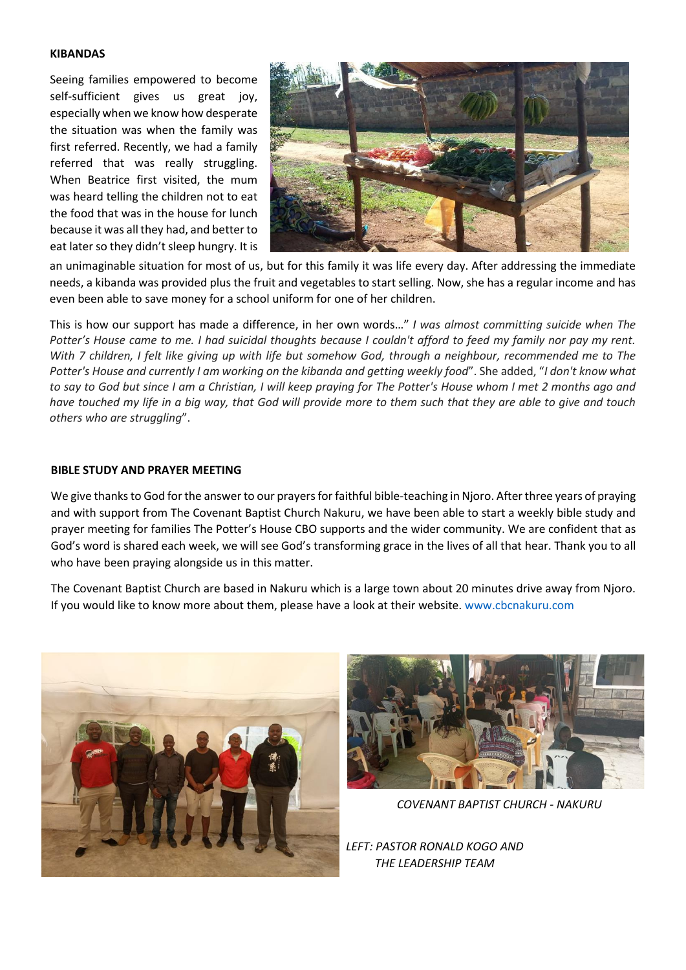#### **KIBANDAS**

Seeing families empowered to become self-sufficient gives us great joy, especially when we know how desperate the situation was when the family was first referred. Recently, we had a family referred that was really struggling. When Beatrice first visited, the mum was heard telling the children not to eat the food that was in the house for lunch because it was all they had, and better to eat later so they didn't sleep hungry. It is



an unimaginable situation for most of us, but for this family it was life every day. After addressing the immediate needs, a kibanda was provided plus the fruit and vegetables to start selling. Now, she has a regular income and has even been able to save money for a school uniform for one of her children.

This is how our support has made a difference, in her own words…" *I was almost committing suicide when The Potter's House came to me. I had suicidal thoughts because I couldn't afford to feed my family nor pay my rent. With 7 children, I felt like giving up with life but somehow God, through a neighbour, recommended me to The Potter's House and currently I am working on the kibanda and getting weekly food*". She added, "*I don't know what to say to God but since I am a Christian, I will keep praying for The Potter's House whom I met 2 months ago and have touched my life in a big way, that God will provide more to them such that they are able to give and touch others who are struggling*".

#### **BIBLE STUDY AND PRAYER MEETING**

We give thanks to God for the answer to our prayers for faithful bible-teaching in Njoro. After three years of praying and with support from The Covenant Baptist Church Nakuru, we have been able to start a weekly bible study and prayer meeting for families The Potter's House CBO supports and the wider community. We are confident that as God's word is shared each week, we will see God's transforming grace in the lives of all that hear. Thank you to all who have been praying alongside us in this matter.

The Covenant Baptist Church are based in Nakuru which is a large town about 20 minutes drive away from Njoro. If you would like to know more about them, please have a look at their website. [www.cbcnakuru.com](http://www.cbcnakuru.com/)





*COVENANT BAPTIST CHURCH - NAKURU*

*LEFT: PASTOR RONALD KOGO AND THE LEADERSHIP TEAM*